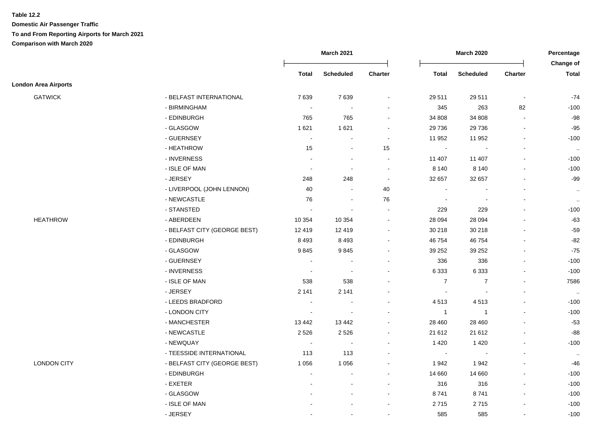|                             |                              | March 2021               |                          | <b>March 2020</b>            |                  |                  | Percentage               |                           |
|-----------------------------|------------------------------|--------------------------|--------------------------|------------------------------|------------------|------------------|--------------------------|---------------------------|
|                             |                              | Total                    | <b>Scheduled</b>         | Charter                      | <b>Total</b>     | <b>Scheduled</b> | Charter                  | Change of<br><b>Total</b> |
| <b>London Area Airports</b> |                              |                          |                          |                              |                  |                  |                          |                           |
| <b>GATWICK</b>              | - BELFAST INTERNATIONAL      | 7639                     | 7639                     | $\blacksquare$               | 29 511           | 29 5 11          | $\blacksquare$           | $-74$                     |
|                             | - BIRMINGHAM                 | $\overline{\phantom{a}}$ |                          | $\overline{\phantom{a}}$     | 345              | 263              | 82                       | $-100$                    |
|                             | - EDINBURGH                  | 765                      | 765                      | $\blacksquare$               | 34 808           | 34 808           | $\blacksquare$           | $-98$                     |
|                             | - GLASGOW                    | 1621                     | 1 6 2 1                  | $\blacksquare$               | 29 736           | 29 7 36          | $\mathbf{r}$             | $-95$                     |
|                             | - GUERNSEY                   | $\blacksquare$           | $\sim$                   | $\blacksquare$               | 11 952           | 11 952           | $\blacksquare$           | $-100$                    |
|                             | - HEATHROW                   | 15                       | $\blacksquare$           | 15                           | $\mathbf{r}$     |                  | $\blacksquare$           | $\sim$                    |
|                             | - INVERNESS                  | $\blacksquare$           | $\blacksquare$           | $\blacksquare$               | 11 407           | 11 407           | $\overline{\phantom{a}}$ | $-100$                    |
|                             | - ISLE OF MAN                | $\overline{\phantom{a}}$ | $\overline{\phantom{a}}$ | $\blacksquare$               | 8 1 4 0          | 8 1 4 0          | $\blacksquare$           | $-100$                    |
|                             | - JERSEY                     | 248                      | 248                      | $\sim$                       | 32 657           | 32 657           | $\blacksquare$           | $-99$                     |
|                             | - LIVERPOOL (JOHN LENNON)    | 40                       | $\overline{\phantom{a}}$ | $40\,$                       | $\sim$           |                  | $\overline{\phantom{a}}$ | $\cdot\cdot$              |
|                             | - NEWCASTLE                  | 76                       | $\blacksquare$           | 76                           | $\sim$           |                  | $\blacksquare$           | $\cdot\cdot$              |
|                             | - STANSTED                   | $\blacksquare$           | $\blacksquare$           |                              | 229              | 229              |                          | $-100$                    |
| <b>HEATHROW</b>             | - ABERDEEN                   | 10 354                   | 10 354                   | $\blacksquare$               | 28 0 94          | 28 0 94          |                          | -63                       |
|                             | - BELFAST CITY (GEORGE BEST) | 12 4 19                  | 12 419                   | $\blacksquare$               | 30 218           | 30 218           | $\overline{a}$           | $-59$                     |
|                             | - EDINBURGH                  | 8 4 9 3                  | 8 4 9 3                  | $\blacksquare$               | 46 754           | 46 754           | L,                       | -82                       |
|                             | - GLASGOW                    | 9845                     | 9845                     | $\qquad \qquad \blacksquare$ | 39 25 2          | 39 25 2          | $\blacksquare$           | $-75$                     |
|                             | - GUERNSEY                   | $\blacksquare$           | $\sim$                   | $\blacksquare$               | 336              | 336              | $\blacksquare$           | $-100$                    |
|                             | - INVERNESS                  |                          |                          | $\blacksquare$               | 6333             | 6 3 3 3          | $\overline{\phantom{a}}$ | $-100$                    |
|                             | - ISLE OF MAN                | 538                      | 538                      | $\blacksquare$               | $\boldsymbol{7}$ | $\overline{7}$   | $\blacksquare$           | 7586                      |
|                             | - JERSEY                     | 2 1 4 1                  | 2 1 4 1                  | $\blacksquare$               | $\blacksquare$   |                  | $\overline{\phantom{a}}$ | $\ldots$                  |
|                             | - LEEDS BRADFORD             | $\bullet$                | $\blacksquare$           | $\blacksquare$               | 4513             | 4513             | $\blacksquare$           | $-100$                    |
|                             | - LONDON CITY                | $\blacksquare$           |                          | $\blacksquare$               | $\overline{1}$   | $\overline{1}$   | $\mathbf{r}$             | $-100$                    |
|                             | - MANCHESTER                 | 13 442                   | 13 4 42                  | $\sim$                       | 28 460           | 28 4 60          |                          | $-53$                     |
|                             | - NEWCASTLE                  | 2 5 2 6                  | 2 5 2 6                  | $\blacksquare$               | 21 612           | 21 612           |                          | -88                       |
|                             | - NEWQUAY                    | $\blacksquare$           |                          | $\blacksquare$               | 1 4 2 0          | 1 4 2 0          | $\overline{a}$           | $-100$                    |
|                             | - TEESSIDE INTERNATIONAL     | 113                      | 113                      |                              |                  |                  |                          | $\cdot\cdot$              |
| <b>LONDON CITY</b>          | - BELFAST CITY (GEORGE BEST) | 1 0 5 6                  | 1 0 5 6                  | $\blacksquare$               | 1942             | 1942             | $\overline{a}$           | -46                       |
|                             | - EDINBURGH                  | $\sim$                   | $\sim$                   | $\blacksquare$               | 14 660           | 14 660           | $\blacksquare$           | $-100$                    |
|                             | $-$ EXETER                   |                          | $\sim$                   | $\sim$                       | 316              | 316              | $\mathbf{r}$             | $-100$                    |
|                             | - GLASGOW                    |                          |                          | $\sim$                       | 8741             | 8741             | $\blacksquare$           | $-100$                    |
|                             | - ISLE OF MAN                |                          |                          | $\overline{\phantom{a}}$     | 2715             | 2715             | $\overline{\phantom{a}}$ | $-100$                    |
|                             | - JERSEY                     |                          |                          | $\blacksquare$               | 585              | 585              | $\blacksquare$           | $-100$                    |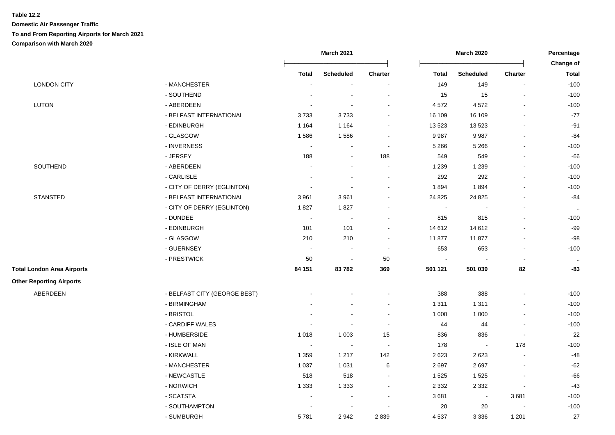| <b>Scheduled</b><br>Charter<br><b>Scheduled</b><br><b>Total</b><br><b>Total</b>                | <b>Change of</b><br><b>Charter</b><br><b>Total</b><br>$-100$<br>$\blacksquare$ |
|------------------------------------------------------------------------------------------------|--------------------------------------------------------------------------------|
|                                                                                                |                                                                                |
|                                                                                                |                                                                                |
| <b>LONDON CITY</b><br>- MANCHESTER<br>149<br>149<br>$\blacksquare$<br>$\overline{\phantom{a}}$ |                                                                                |
| - SOUTHEND<br>15<br>15                                                                         | $-100$                                                                         |
| LUTON<br>- ABERDEEN<br>4572<br>4572<br>$\sim$<br>$\overline{\phantom{a}}$                      | $-100$<br>$\blacksquare$                                                       |
| - BELFAST INTERNATIONAL<br>3733<br>3733<br>16 109<br>16 109                                    | $-77$                                                                          |
| - EDINBURGH<br>1 1 6 4<br>1 1 6 4<br>13523<br>13 5 23<br>$\sim$                                | $-91$<br>$\overline{a}$                                                        |
| - GLASGOW<br>9987<br>9987<br>1586<br>1586<br>÷                                                 | $-84$<br>$\overline{a}$                                                        |
| - INVERNESS<br>5 2 6 6<br>5 2 6 6<br>$\sim$                                                    | $-100$                                                                         |
| - JERSEY<br>188<br>549<br>549<br>188<br>$\blacksquare$                                         | $-66$                                                                          |
| SOUTHEND<br>- ABERDEEN<br>1 2 3 9<br>1 2 3 9<br>$\sim$                                         | $-100$<br>$\blacksquare$                                                       |
| 292<br>- CARLISLE<br>292<br>$\overline{\phantom{a}}$<br>$\overline{\phantom{a}}$               | $-100$                                                                         |
| - CITY OF DERRY (EGLINTON)<br>1894<br>1894<br>$\blacksquare$<br>$\sim$                         | $-100$                                                                         |
| <b>STANSTED</b><br>- BELFAST INTERNATIONAL<br>3 9 6 1<br>24 8 25<br>24 8 25<br>3961<br>$\sim$  | $-84$                                                                          |
| - CITY OF DERRY (EGLINTON)<br>1827<br>1827<br>$\blacksquare$                                   | $\sim$                                                                         |
| - DUNDEE<br>815<br>815<br>$\sim$<br>$\sim$                                                     | $-100$<br>$\blacksquare$                                                       |
| - EDINBURGH<br>101<br>14 612<br>14 612<br>101<br>$\overline{\phantom{a}}$                      | $-99$<br>$\blacksquare$                                                        |
| - GLASGOW<br>11877<br>210<br>210<br>11877<br>$\overline{\phantom{a}}$                          | $-98$<br>$\blacksquare$                                                        |
| - GUERNSEY<br>653<br>653<br>$\sim$<br>$\blacksquare$<br>$\blacksquare$                         | $-100$<br>$\overline{\phantom{a}}$                                             |
| - PRESTWICK<br>50<br>50<br>$\blacksquare$<br>$\blacksquare$                                    | $\sim$                                                                         |
| 84 151<br>83782<br>501 121<br><b>Total London Area Airports</b><br>369<br>501 039              | 82<br>$-83$                                                                    |
| <b>Other Reporting Airports</b>                                                                |                                                                                |
| ABERDEEN<br>- BELFAST CITY (GEORGE BEST)<br>388<br>388                                         | $-100$                                                                         |
| - BIRMINGHAM<br>1 3 1 1<br>1 3 1 1                                                             | $-100$                                                                         |
| - BRISTOL<br>1 0 0 0<br>1 0 0 0<br>$\sim$<br>÷.                                                | $-100$                                                                         |
| - CARDIFF WALES<br>44<br>44<br>$\sim$                                                          | $-100$                                                                         |
| - HUMBERSIDE<br>1 0 0 3<br>15<br>1 0 1 8<br>836<br>836                                         | 22<br>$\tilde{\phantom{a}}$                                                    |
| - ISLE OF MAN<br>178<br>$\sim$<br>$\sim$<br>$\sim$<br>$\mathbf{r}$                             | 178<br>$-100$                                                                  |
| - KIRKWALL<br>142<br>2623<br>2623<br>1 3 5 9<br>1 2 1 7                                        | $-48$<br>$\overline{\phantom{a}}$                                              |
| - MANCHESTER<br>1 0 3 7<br>1 0 3 1<br>6<br>2697<br>2697                                        | $-62$<br>$\blacksquare$                                                        |
| - NEWCASTLE<br>518<br>518<br>1525<br>1525<br>$\blacksquare$                                    | $-66$                                                                          |
| - NORWICH<br>2 3 3 2<br>1 3 3 3<br>1 3 3 3<br>2 3 3 2<br>$\blacksquare$                        | $-43$<br>$\blacksquare$                                                        |
| - SCATSTA<br>3681<br>$\overline{\phantom{a}}$<br>$\blacksquare$<br>$\overline{\phantom{a}}$    | 3681<br>$-100$                                                                 |
| - SOUTHAMPTON<br>20<br>$20\,$                                                                  | $-100$                                                                         |
| - SUMBURGH<br>5781<br>2942<br>2839<br>4537<br>3 3 3 6                                          | 27<br>1 2 0 1                                                                  |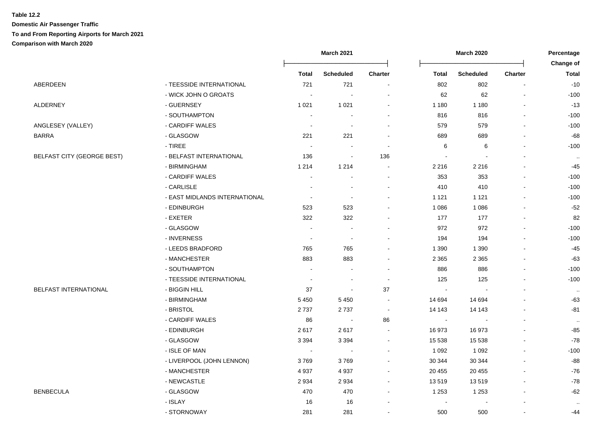|                                   |                               |                            | <b>March 2021</b>        |         |                          | <b>March 2020</b> |                |                           |
|-----------------------------------|-------------------------------|----------------------------|--------------------------|---------|--------------------------|-------------------|----------------|---------------------------|
|                                   |                               | <b>Total</b>               | <b>Scheduled</b>         | Charter | <b>Total</b>             | <b>Scheduled</b>  | Charter        | Change of<br><b>Total</b> |
| ABERDEEN                          | - TEESSIDE INTERNATIONAL      | 721                        | 721                      |         | 802                      | 802               | $\blacksquare$ | $-10$                     |
|                                   | - WICK JOHN O GROATS          | $\overline{\phantom{a}}$   |                          |         | 62                       | 62                | $\blacksquare$ | $-100$                    |
| ALDERNEY                          | - GUERNSEY                    | 1 0 2 1                    | 1 0 2 1                  |         | 1 1 8 0                  | 1 1 8 0           |                | $-13$                     |
|                                   | - SOUTHAMPTON                 |                            |                          |         | 816                      | 816               |                | $-100$                    |
| ANGLESEY (VALLEY)                 | - CARDIFF WALES               | $\sim$                     | $\sim$                   |         | 579                      | 579               |                | $-100$                    |
| BARRA                             | - GLASGOW                     | 221                        | 221                      |         | 689                      | 689               |                | -68                       |
|                                   | - TIREE                       | $\sim$                     |                          |         | 6                        | 6                 |                | $-100$                    |
| <b>BELFAST CITY (GEORGE BEST)</b> | - BELFAST INTERNATIONAL       | 136                        | $\sim$                   | 136     |                          |                   |                | $\cdot$ .                 |
|                                   | - BIRMINGHAM                  | 1 2 1 4                    | 1 2 1 4                  |         | 2 2 1 6                  | 2 2 1 6           |                | -45                       |
|                                   | - CARDIFF WALES               | $\overline{\phantom{a}}$   |                          |         | 353                      | 353               |                | $-100$                    |
|                                   | - CARLISLE                    | $\overline{\phantom{a}}$   | $\blacksquare$           | $\sim$  | 410                      | 410               |                | $-100$                    |
|                                   | - EAST MIDLANDS INTERNATIONAL | $\overline{\phantom{a}}$   | $\overline{\phantom{a}}$ |         | 1 1 2 1                  | 1 1 2 1           |                | $-100$                    |
|                                   | - EDINBURGH                   | 523                        | 523                      |         | 1 0 8 6                  | 1 0 8 6           |                | $-52$                     |
|                                   | - EXETER                      | 322                        | 322                      |         | 177                      | 177               | $\blacksquare$ | 82                        |
|                                   | - GLASGOW                     | $\sim$                     | $\sim$                   |         | 972                      | 972               | $\mathbf{r}$   | $-100$                    |
|                                   | - INVERNESS                   | $\overline{\phantom{a}}$   | $\sim$                   |         | 194                      | 194               |                | $-100$                    |
|                                   | - LEEDS BRADFORD              | 765                        | 765                      |         | 1 3 9 0                  | 1 3 9 0           |                | -45                       |
|                                   | - MANCHESTER                  | 883                        | 883                      |         | 2 3 6 5                  | 2 3 6 5           |                | -63                       |
|                                   | - SOUTHAMPTON                 | $\overline{\phantom{a}}$   |                          |         | 886                      | 886               |                | $-100$                    |
|                                   | - TEESSIDE INTERNATIONAL      | $\overline{\phantom{a}}$   |                          |         | 125                      | 125               |                | $-100$                    |
| <b>BELFAST INTERNATIONAL</b>      | - BIGGIN HILL                 | 37                         | $\overline{\phantom{a}}$ | 37      | $\overline{\phantom{a}}$ |                   |                | $\cdot\cdot$              |
|                                   | - BIRMINGHAM                  | 5 4 5 0                    | 5 4 5 0                  |         | 14 694                   | 14 694            |                | -63                       |
|                                   | - BRISTOL                     | 2737                       | 2737                     |         | 14 143                   | 14 143            |                | -81                       |
|                                   | - CARDIFF WALES               | 86                         | $\blacksquare$           | 86      | $\blacksquare$           | $\blacksquare$    |                | $\cdot$ .                 |
|                                   | - EDINBURGH                   | 2617                       | 2617                     |         | 16973                    | 16973             |                | -85                       |
|                                   | - GLASGOW                     | 3 3 9 4                    | 3 3 9 4                  |         | 15 5 38                  | 15 5 38           |                | $-78$                     |
|                                   | - ISLE OF MAN                 | $\mathcal{L}_{\mathbf{r}}$ | $\sim$                   |         | 1 0 9 2                  | 1 0 9 2           |                | $-100$                    |
|                                   | - LIVERPOOL (JOHN LENNON)     | 3769                       | 3769                     |         | 30 344                   | 30 344            |                | -88                       |
|                                   | - MANCHESTER                  | 4937                       | 4 9 3 7                  |         | 20 455                   | 20 455            |                | $-76$                     |
|                                   | - NEWCASTLE                   | 2934                       | 2 9 3 4                  |         | 13519                    | 13519             |                | $-78$                     |
| BENBECULA                         | - GLASGOW                     | 470                        | 470                      |         | 1 2 5 3                  | 1 2 5 3           |                | $-62$                     |
|                                   | - ISLAY                       | 16                         | 16                       |         | $\overline{\phantom{a}}$ |                   |                | $\cdot$ .                 |
|                                   | - STORNOWAY                   | 281                        | 281                      |         | 500                      | 500               | $\blacksquare$ | -44                       |
|                                   |                               |                            |                          |         |                          |                   |                |                           |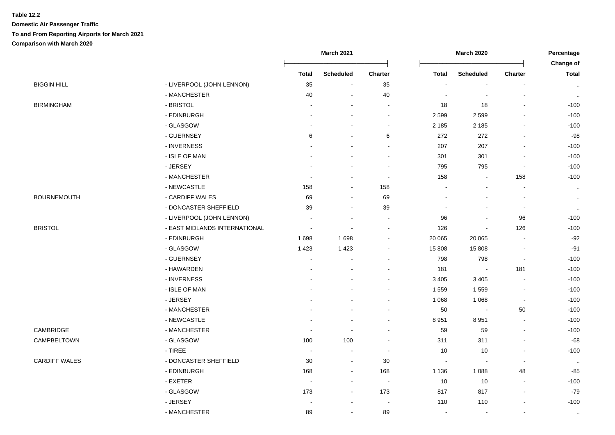|                               |                          |                          |                          |                | <b>March 2020</b>        |                              |                           |
|-------------------------------|--------------------------|--------------------------|--------------------------|----------------|--------------------------|------------------------------|---------------------------|
|                               | <b>Total</b>             | <b>Scheduled</b>         | Charter                  | <b>Total</b>   | <b>Scheduled</b>         | <b>Charter</b>               | Change of<br><b>Total</b> |
| - LIVERPOOL (JOHN LENNON)     | 35                       | $\blacksquare$           | 35                       |                | $\blacksquare$           | $\blacksquare$               | $\sim$                    |
| - MANCHESTER                  | 40                       |                          | 40                       |                |                          |                              | $\sim$                    |
| - BRISTOL                     |                          |                          | ÷                        | 18             | $18$                     | $\overline{a}$               | $-100$                    |
| - EDINBURGH                   |                          |                          | $\sim$                   | 2599           | 2 5 9 9                  |                              | $-100$                    |
| - GLASGOW                     |                          |                          | $\sim$                   | 2 1 8 5        | 2 1 8 5                  |                              | $-100$                    |
| - GUERNSEY                    | 6                        |                          | 6                        | 272            | 272                      |                              | $-98$                     |
| - INVERNESS                   |                          |                          | $\blacksquare$           | 207            | 207                      |                              | $-100$                    |
| - ISLE OF MAN                 |                          |                          |                          | 301            | 301                      |                              | $-100$                    |
| - JERSEY                      |                          |                          |                          | 795            | 795                      | $\overline{\phantom{a}}$     | $-100$                    |
| - MANCHESTER                  |                          |                          | $\blacksquare$           | 158            |                          | 158                          | $-100$                    |
| - NEWCASTLE                   | 158                      | $\blacksquare$           | 158                      |                |                          | $\blacksquare$               | $\cdot\cdot$              |
| - CARDIFF WALES               | 69                       | $\blacksquare$           | 69                       |                |                          | $\blacksquare$               | $\sim$                    |
| - DONCASTER SHEFFIELD         | 39                       | $\overline{\phantom{a}}$ | 39                       |                |                          | $\overline{\phantom{a}}$     | $\cdot\cdot$              |
| - LIVERPOOL (JOHN LENNON)     |                          |                          |                          | 96             |                          | 96                           | $-100$                    |
| - EAST MIDLANDS INTERNATIONAL | $\overline{\phantom{a}}$ |                          |                          | 126            | $\overline{\phantom{a}}$ | 126                          | $-100$                    |
| - EDINBURGH                   | 1698                     | 1 6 9 8                  |                          | 20 065         | 20 065                   | $\blacksquare$               | $-92$                     |
| - GLASGOW                     | 1423                     | 1 4 2 3                  |                          | 15 808         | 15 808                   | $\blacksquare$               | $-91$                     |
| - GUERNSEY                    | ÷,                       |                          |                          | 798            | 798                      | $\blacksquare$               | $-100$                    |
| - HAWARDEN                    |                          |                          |                          | 181            | $\sim$                   | 181                          | $-100$                    |
| - INVERNESS                   |                          |                          |                          | 3 4 0 5        | 3 4 0 5                  | $\blacksquare$               | $-100$                    |
| - ISLE OF MAN                 |                          |                          |                          | 1559           | 1 5 5 9                  | $\blacksquare$               | $-100$                    |
| - JERSEY                      |                          |                          |                          | 1 0 6 8        | 1 0 6 8                  | $\overline{\phantom{a}}$     | $-100$                    |
| - MANCHESTER                  |                          |                          |                          | 50             | $\sim$                   | 50                           | $-100$                    |
| - NEWCASTLE                   |                          |                          |                          | 8 9 5 1        | 8 9 5 1                  | $\sim$                       | $-100$                    |
| - MANCHESTER                  | ÷,                       | ÷,                       |                          | 59             | 59                       | $\sim$                       | $-100$                    |
| - GLASGOW                     | 100                      | 100                      |                          | 311            | 311                      |                              | $-68$                     |
| $-$ TIREE                     | $\sim$                   |                          |                          | 10             | 10                       | $\blacksquare$               | $-100$                    |
| - DONCASTER SHEFFIELD         | 30                       | $\overline{\phantom{a}}$ | 30                       |                |                          | $\overline{\phantom{a}}$     | $\cdot$ .                 |
| - EDINBURGH                   | 168                      | $\blacksquare$           | 168                      | 1 1 3 6        | 1 0 8 8                  | 48                           | $-85$                     |
| - EXETER                      | $\sim$                   | $\blacksquare$           | $\sim$                   | 10             | 10                       | $\blacksquare$               | $-100$                    |
| - GLASGOW                     | 173                      | $\blacksquare$           | 173                      | 817            | 817                      | $\blacksquare$               | $-79$                     |
| - JERSEY                      |                          |                          | $\overline{\phantom{a}}$ | 110            | 110                      | $\qquad \qquad \blacksquare$ | $-100$                    |
| - MANCHESTER                  | 89                       | $\blacksquare$           | 89                       | $\blacksquare$ | $\blacksquare$           | $\blacksquare$               | $\cdot\cdot$              |
|                               |                          |                          | <b>March 2021</b>        |                |                          |                              |                           |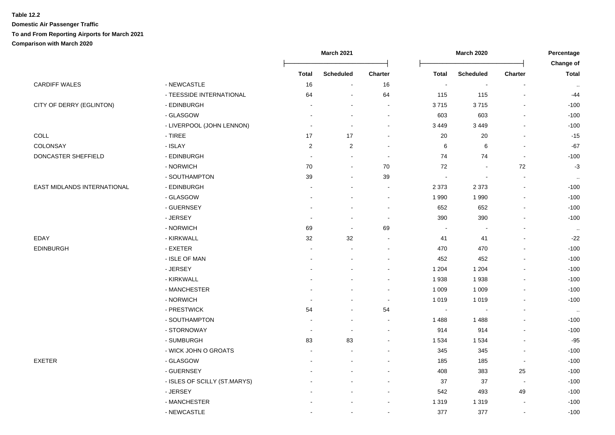| <b>Total</b><br>$\overline{\phantom{a}}$<br>115 | <b>Scheduled</b><br>$\blacksquare$ | <b>Charter</b>           | Change of<br><b>Total</b> |
|-------------------------------------------------|------------------------------------|--------------------------|---------------------------|
|                                                 |                                    |                          |                           |
|                                                 |                                    |                          |                           |
|                                                 | 115                                | $\overline{\phantom{a}}$ | -44                       |
| 3715                                            | 3715                               |                          | $-100$                    |
| 603                                             | 603                                |                          | $-100$                    |
| 3 4 4 9                                         | 3 4 4 9                            |                          | $-100$                    |
| 20                                              | 20                                 |                          | $-15$                     |
| 6                                               | 6                                  |                          | $-67$                     |
| 74                                              | 74                                 | $\blacksquare$           | $-100$                    |
| 72                                              |                                    | 72                       | $-3$                      |
|                                                 |                                    |                          | $\cdot$ .                 |
| 2 3 7 3                                         | 2 3 7 3                            | $\sim$                   | $-100$                    |
| 1990                                            | 1 9 9 0                            | $\overline{\phantom{a}}$ | $-100$                    |
| 652                                             | 652                                | $\overline{\phantom{a}}$ | $-100$                    |
| 390                                             | 390                                | $\blacksquare$           | $-100$                    |
|                                                 |                                    |                          | $\cdot$ .                 |
| 41                                              | 41                                 |                          | $-22$                     |
| 470                                             | 470                                |                          | $-100$                    |
| 452                                             | 452                                |                          | $-100$                    |
| 1 2 0 4                                         | 1 2 0 4                            |                          | $-100$                    |
| 1938                                            | 1938                               | $\blacksquare$           | $-100$                    |
| 1 0 0 9                                         | 1 0 0 9                            |                          | $-100$                    |
| 1019                                            | 1 0 1 9                            |                          | $-100$                    |
| $\sim$                                          |                                    |                          | $\sim$                    |
| 1 4 8 8                                         | 1488                               |                          | $-100$                    |
| 914                                             | 914                                | $\blacksquare$           | $-100$                    |
| 1534                                            | 1534                               |                          | $-95$                     |
| 345                                             | 345                                | ÷,                       | $-100$                    |
| 185                                             | 185                                | $\sim$                   | $-100$                    |
| 408                                             | 383                                | 25                       | $-100$                    |
| 37                                              | 37                                 | $\overline{\phantom{a}}$ | $-100$                    |
| 542                                             | 493                                | 49                       | $-100$                    |
|                                                 |                                    |                          |                           |
| 1 3 1 9                                         | 1 3 1 9                            | $\overline{\phantom{a}}$ | $-100$                    |
|                                                 |                                    |                          |                           |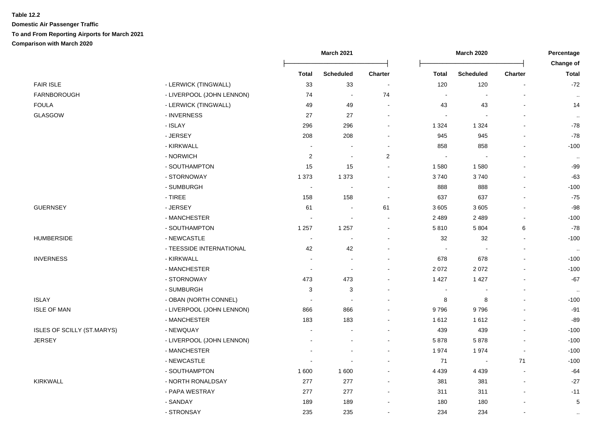|                            |                           |                          | <b>March 2021</b> |                |                | <b>March 2020</b> |                |                           |
|----------------------------|---------------------------|--------------------------|-------------------|----------------|----------------|-------------------|----------------|---------------------------|
|                            |                           | <b>Total</b>             | <b>Scheduled</b>  | Charter        | <b>Total</b>   | <b>Scheduled</b>  | <b>Charter</b> | Change of<br><b>Total</b> |
| <b>FAIR ISLE</b>           | - LERWICK (TINGWALL)      | 33                       | 33                | $\blacksquare$ | 120            | 120               | $\blacksquare$ | $-72$                     |
| FARNBOROUGH                | - LIVERPOOL (JOHN LENNON) | 74                       | $\sim$            | 74             | $\blacksquare$ | $\blacksquare$    |                | $\sim$                    |
| FOULA                      | - LERWICK (TINGWALL)      | 49                       | 49                | ÷.             | 43             | 43                |                | 14                        |
| GLASGOW                    | - INVERNESS               | 27                       | 27                |                |                |                   |                | $\sim$                    |
|                            | - ISLAY                   | 296                      | 296               |                | 1 3 2 4        | 1 3 2 4           |                | $-78$                     |
|                            | - JERSEY                  | 208                      | 208               |                | 945            | 945               |                | $-78$                     |
|                            | - KIRKWALL                | $\blacksquare$           |                   |                | 858            | 858               |                | $-100$                    |
|                            | - NORWICH                 | $\overline{c}$           | $\blacksquare$    | $\overline{c}$ |                |                   |                | $\cdot$ .                 |
|                            | - SOUTHAMPTON             | 15                       | 15                |                | 1580           | 1580              |                | $-99$                     |
|                            | - STORNOWAY               | 1 3 7 3                  | 1 3 7 3           |                | 3740           | 3740              |                | $-63$                     |
|                            | - SUMBURGH                | $\sim$                   | $\blacksquare$    |                | 888            | 888               | $\overline{a}$ | $-100$                    |
|                            | - TIREE                   | 158                      | 158               | $\blacksquare$ | 637            | 637               | $\overline{a}$ | $-75$                     |
| <b>GUERNSEY</b>            | - JERSEY                  | 61                       | $\blacksquare$    | 61             | 3605           | 3605              | ä,             | $-98$                     |
|                            | - MANCHESTER              | $\blacksquare$           | $\blacksquare$    |                | 2 4 8 9        | 2 4 8 9           | $\overline{a}$ | $-100$                    |
|                            | - SOUTHAMPTON             | 1 2 5 7                  | 1 2 5 7           |                | 5810           | 5 8 0 4           | 6              | $-78$                     |
| <b>HUMBERSIDE</b>          | - NEWCASTLE               | $\overline{\phantom{a}}$ |                   |                | 32             | 32                |                | $-100$                    |
|                            | - TEESSIDE INTERNATIONAL  | 42                       | 42                |                |                |                   |                | $\sim$                    |
| <b>INVERNESS</b>           | - KIRKWALL                | $\blacksquare$           | ÷,                |                | 678            | 678               | $\blacksquare$ | $-100$                    |
|                            | - MANCHESTER              | $\blacksquare$           |                   |                | 2072           | 2072              |                | $-100$                    |
|                            | - STORNOWAY               | 473                      | 473               |                | 1 4 2 7        | 1427              |                | $-67$                     |
|                            | - SUMBURGH                | 3                        | 3                 |                |                |                   |                | $\sim$                    |
| ISLAY                      | - OBAN (NORTH CONNEL)     |                          |                   |                | 8              | 8                 |                | $-100$                    |
| <b>ISLE OF MAN</b>         | - LIVERPOOL (JOHN LENNON) | 866                      | 866               |                | 9796           | 9796              | $\overline{a}$ | $-91$                     |
|                            | - MANCHESTER              | 183                      | 183               |                | 1612           | 1612              | $\blacksquare$ | $-89$                     |
| ISLES OF SCILLY (ST.MARYS) | - NEWQUAY                 | $\blacksquare$           |                   |                | 439            | 439               |                | $-100$                    |
| JERSEY                     | - LIVERPOOL (JOHN LENNON) |                          |                   |                | 5878           | 5878              | $\blacksquare$ | $-100$                    |
|                            | - MANCHESTER              |                          |                   |                | 1974           | 1974              | $\overline{a}$ | $-100$                    |
|                            | - NEWCASTLE               | ÷,                       |                   |                | 71             | $\sim$            | 71             | $-100$                    |
|                            | - SOUTHAMPTON             | 1600                     | 1 600             |                | 4 4 3 9        | 4 4 3 9           |                | $-64$                     |
| KIRKWALL                   | - NORTH RONALDSAY         | 277                      | 277               |                | 381            | 381               | $\blacksquare$ | $-27$                     |
|                            | - PAPA WESTRAY            | 277                      | 277               |                | 311            | 311               |                | $-11$                     |
|                            | - SANDAY                  | 189                      | 189               |                | 180            | 180               |                | $\sqrt{5}$                |
|                            | - STRONSAY                | 235                      | 235               |                | 234            | 234               | $\blacksquare$ | $\cdot$ .                 |
|                            |                           |                          |                   |                |                |                   |                |                           |